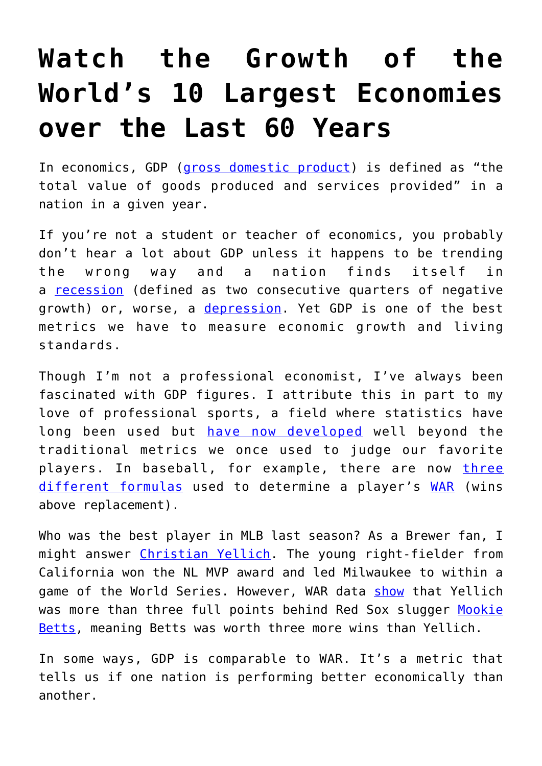## **[Watch the Growth of the](https://intellectualtakeout.org/2018/12/watch-the-growth-of-the-worlds-10-largest-economies-over-the-last-60-years/) [World's 10 Largest Economies](https://intellectualtakeout.org/2018/12/watch-the-growth-of-the-worlds-10-largest-economies-over-the-last-60-years/) [over the Last 60 Years](https://intellectualtakeout.org/2018/12/watch-the-growth-of-the-worlds-10-largest-economies-over-the-last-60-years/)**

In economics, GDP ([gross domestic product](https://en.wikipedia.org/wiki/Gross_domestic_product)) is defined as "the total value of goods produced and services provided" in a nation in a given year.

If you're not a student or teacher of economics, you probably don't hear a lot about GDP unless it happens to be trending the wrong way and a nation finds itself in a [recession](https://en.wikipedia.org/wiki/Recession) (defined as two consecutive quarters of negative growth) or, worse, a [depression.](https://en.wikipedia.org/wiki/Depression_(economics)) Yet GDP is one of the best metrics we have to measure economic growth and living standards.

Though I'm not a professional economist, I've always been fascinated with GDP figures. I attribute this in part to my love of professional sports, a field where statistics have long been used but [have now developed](https://www.forbes.com/sites/leighsteinberg/2015/08/18/changing-the-game-the-rise-of-sports-analytics/#81347504c1fd) well beyond the traditional metrics we once used to judge our favorite players. In baseball, for example, there are now [three](https://www.fangraphs.com/library/war/differences-fwar-rwar/) [different formulas](https://www.fangraphs.com/library/war/differences-fwar-rwar/) used to determine a player's [WAR](https://www.fangraphs.com/library/misc/war/) (wins above replacement).

Who was the best player in MLB last season? As a Brewer fan, I might answer [Christian Yellich](http://www.espn.com/mlb/player/_/id/31283/christian-yelich). The young right-fielder from California won the NL MVP award and led Milwaukee to within a game of the World Series. However, WAR data [show](http://www.espn.com/mlb/war/leaders) that Yellich was more than three full points behind Red Sox slugger [Mookie](http://www.espn.com/mlb/player/_/id/33039/mookie-betts) [Betts](http://www.espn.com/mlb/player/_/id/33039/mookie-betts), meaning Betts was worth three more wins than Yellich.

In some ways, GDP is comparable to WAR. It's a metric that tells us if one nation is performing better economically than another.